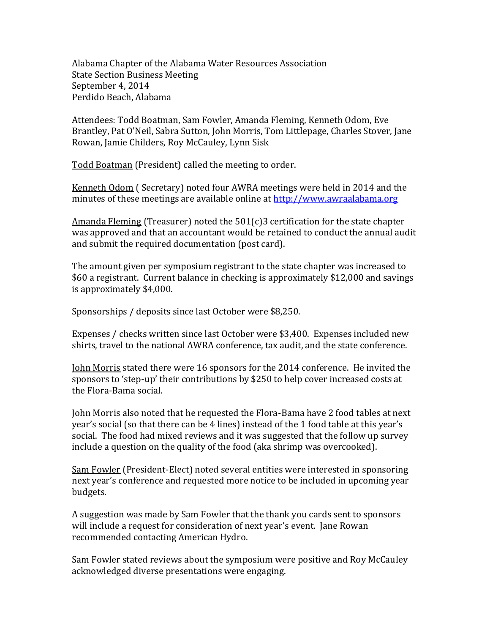Alabama Chapter of the Alabama Water Resources Association State Section Business Meeting September 4, 2014 Perdido Beach, Alabama

Attendees: Todd Boatman, Sam Fowler, Amanda Fleming, Kenneth Odom, Eve Brantley, Pat O'Neil, Sabra Sutton, John Morris, Tom Littlepage, Charles Stover, Jane Rowan, Jamie Childers, Roy McCauley, Lynn Sisk

Todd Boatman (President) called the meeting to order.

Kenneth Odom ( Secretary) noted four AWRA meetings were held in 2014 and the minutes of these meetings are available online at [http://www.awraalabama.org](http://www.awraalabama.org/)

Amanda Fleming (Treasurer) noted the 501(c)3 certification for the state chapter was approved and that an accountant would be retained to conduct the annual audit and submit the required documentation (post card).

The amount given per symposium registrant to the state chapter was increased to \$60 a registrant. Current balance in checking is approximately \$12,000 and savings is approximately \$4,000.

Sponsorships / deposits since last October were \$8,250.

Expenses / checks written since last October were \$3,400. Expenses included new shirts, travel to the national AWRA conference, tax audit, and the state conference.

John Morris stated there were 16 sponsors for the 2014 conference. He invited the sponsors to 'step-up' their contributions by \$250 to help cover increased costs at the Flora-Bama social.

John Morris also noted that he requested the Flora-Bama have 2 food tables at next year's social (so that there can be 4 lines) instead of the 1 food table at this year's social. The food had mixed reviews and it was suggested that the follow up survey include a question on the quality of the food (aka shrimp was overcooked).

Sam Fowler (President-Elect) noted several entities were interested in sponsoring next year's conference and requested more notice to be included in upcoming year budgets.

A suggestion was made by Sam Fowler that the thank you cards sent to sponsors will include a request for consideration of next year's event. Jane Rowan recommended contacting American Hydro.

Sam Fowler stated reviews about the symposium were positive and Roy McCauley acknowledged diverse presentations were engaging.